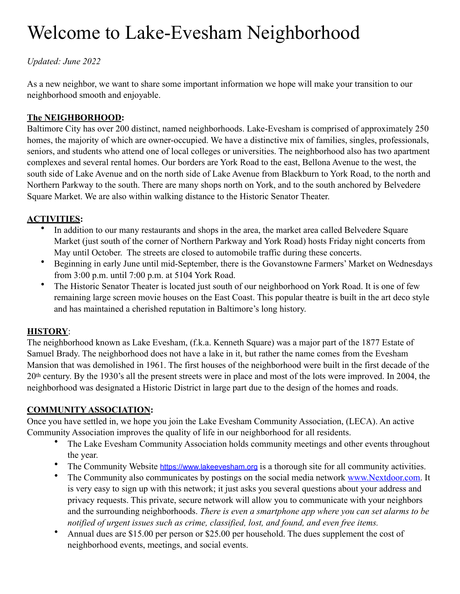# Welcome to Lake-Evesham Neighborhood

*Updated: June 2022*

As a new neighbor, we want to share some important information we hope will make your transition to our neighborhood smooth and enjoyable.

# **The NEIGHBORHOOD:**

Baltimore City has over 200 distinct, named neighborhoods. Lake-Evesham is comprised of approximately 250 homes, the majority of which are owner-occupied. We have a distinctive mix of families, singles, professionals, seniors, and students who attend one of local colleges or universities. The neighborhood also has two apartment complexes and several rental homes. Our borders are York Road to the east, Bellona Avenue to the west, the south side of Lake Avenue and on the north side of Lake Avenue from Blackburn to York Road, to the north and Northern Parkway to the south. There are many shops north on York, and to the south anchored by Belvedere Square Market. We are also within walking distance to the Historic Senator Theater.

## **ACTIVITIES:**

- In addition to our many restaurants and shops in the area, the market area called Belvedere Square Market (just south of the corner of Northern Parkway and York Road) hosts Friday night concerts from May until October. The streets are closed to automobile traffic during these concerts.
- Beginning in early June until mid-September, there is the Govanstowne Farmers' Market on Wednesdays from 3:00 p.m. until 7:00 p.m. at 5104 York Road.
- The Historic Senator Theater is located just south of our neighborhood on York Road. It is one of few remaining large screen movie houses on the East Coast. This popular theatre is built in the art deco style and has maintained a cherished reputation in Baltimore's long history.

## **HISTORY**:

The neighborhood known as Lake Evesham, (f.k.a. Kenneth Square) was a major part of the 1877 Estate of Samuel Brady. The neighborhood does not have a lake in it, but rather the name comes from the Evesham Mansion that was demolished in 1961. The first houses of the neighborhood were built in the first decade of the 20th century. By the 1930's all the present streets were in place and most of the lots were improved. In 2004, the neighborhood was designated a Historic District in large part due to the design of the homes and roads.

## **COMMUNITY ASSOCIATION:**

Once you have settled in, we hope you join the Lake Evesham Community Association, (LECA). An active Community Association improves the quality of life in our neighborhood for all residents.

- The Lake Evesham Community Association holds community meetings and other events throughout the year.
- The Community Website [https://www.lakeevesham.org](https://www.lakeevesham.org/) is a thorough site for all community activities.
- The Community also communicates by postings on the social media network www.Nextdoor.com. It is very easy to sign up with this network; it just asks you several questions about your address and privacy requests. This private, secure network will allow you to communicate with your neighbors and the surrounding neighborhoods. *There is even a smartphone app where you can set alarms to be notified of urgent issues such as crime, classified, lost, and found, and even free items.*
- Annual dues are \$15.00 per person or \$25.00 per household. The dues supplement the cost of neighborhood events, meetings, and social events.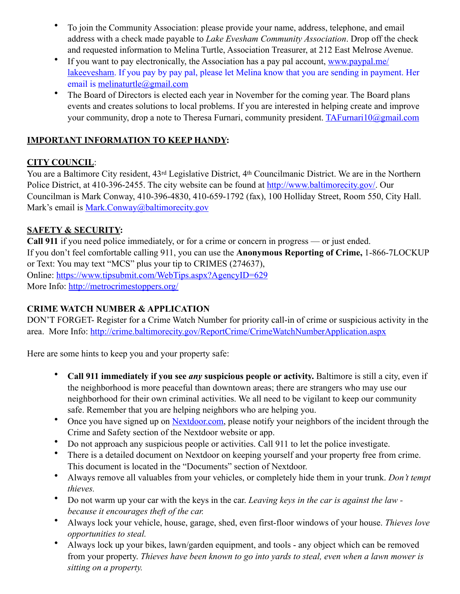- To join the Community Association: please provide your name, address, telephone, and email address with a check made payable to *Lake Evesham Community Association*. Drop off the check and requested information to Melina Turtle, Association Treasurer, at 212 East Melrose Avenue.
- If you want to pay electronically, the Association has a pay pal account, [www.paypal.me/](http://www.paypal.me/lakeevesham) [lakeevesham.](http://www.paypal.me/lakeevesham) If you pay by pay pal, please let Melina know that you are sending in payment. Her email is melinaturtle@gmail.com
- The Board of Directors is elected each year in November for the coming year. The Board plans events and creates solutions to local problems. If you are interested in helping create and improve your community, drop a note to Theresa Furnari, community president. [TAFurnari10@gmail.com](mailto:TAFurnari10@gmail.com)

## **IMPORTANT INFORMATION TO KEEP HANDY:**

## **CITY COUNCIL**:

You are a Baltimore City resident, 43rd Legislative District, 4th Councilmanic District. We are in the Northern Police District, at 410-396-2455. The city website can be found at [http://www.baltimorecity.gov/.](http://www.baltimorecity.gov/) Our Councilman is Mark Conway, 410-396-4830, 410-659-1792 (fax), 100 Holliday Street, Room 550, City Hall. Mark's email is Mark.Conway[@baltimorecity.gov](mailto:Bill.Henry@baltimorecity.gov)

## **SAFETY & SECURITY:**

**Call 911** if you need police immediately, or for a crime or concern in progress — or just ended. If you don't feel comfortable calling 911, you can use the **Anonymous Reporting of Crime,** 1-866-7LOCKUP or Text: You may text "MCS" plus your tip to CRIMES (274637), Online: <https://www.tipsubmit.com/WebTips.aspx?AgencyID=629> More Info:<http://metrocrimestoppers.org/>

## **CRIME WATCH NUMBER & APPLICATION**

DON'T FORGET- Register for a Crime Watch Number for priority call-in of crime or suspicious activity in the area. More Info:<http://crime.baltimorecity.gov/ReportCrime/CrimeWatchNumberApplication.aspx>

Here are some hints to keep you and your property safe:

- **Call 911 immediately if you see** *any* **suspicious people or activity.** Baltimore is still a city, even if the neighborhood is more peaceful than downtown areas; there are strangers who may use our neighborhood for their own criminal activities. We all need to be vigilant to keep our community safe. Remember that you are helping neighbors who are helping you.
- Once you have signed up on Nextdoor.com, please notify your neighbors of the incident through the Crime and Safety section of the Nextdoor website or app.
- Do not approach any suspicious people or activities. Call 911 to let the police investigate.
- There is a detailed document on Nextdoor on keeping yourself and your property free from crime. This document is located in the "Documents" section of Nextdoor.
- Always remove all valuables from your vehicles, or completely hide them in your trunk. *Don't tempt thieves.*
- Do not warm up your car with the keys in the car. *Leaving keys in the car is against the law because it encourages theft of the car.*
- Always lock your vehicle, house, garage, shed, even first-floor windows of your house. *Thieves love opportunities to steal.*
- Always lock up your bikes, lawn/garden equipment, and tools any object which can be removed from your property. *Thieves have been known to go into yards to steal, even when a lawn mower is sitting on a property.*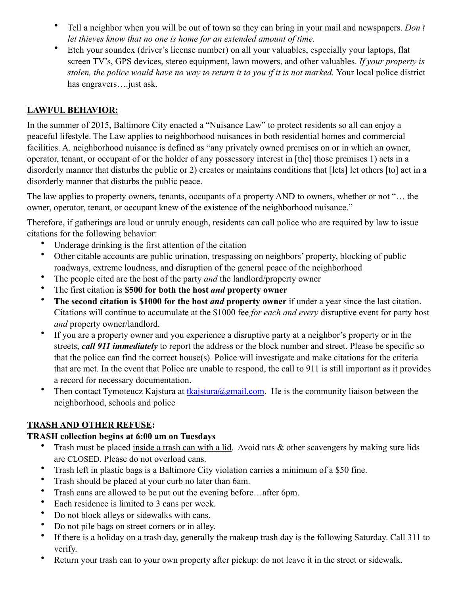- Tell a neighbor when you will be out of town so they can bring in your mail and newspapers. *Don't let thieves know that no one is home for an extended amount of time.*
- Etch your soundex (driver's license number) on all your valuables, especially your laptops, flat screen TV's, GPS devices, stereo equipment, lawn mowers, and other valuables. *If your property is stolen, the police would have no way to return it to you if it is not marked.* Your local police district has engravers.... just ask.

## **LAWFUL BEHAVIOR:**

In the summer of 2015, Baltimore City enacted a "Nuisance Law" to protect residents so all can enjoy a peaceful lifestyle. The Law applies to neighborhood nuisances in both residential homes and commercial facilities. A. neighborhood nuisance is defined as "any privately owned premises on or in which an owner, operator, tenant, or occupant of or the holder of any possessory interest in [the] those premises 1) acts in a disorderly manner that disturbs the public or 2) creates or maintains conditions that [lets] let others [to] act in a disorderly manner that disturbs the public peace.

The law applies to property owners, tenants, occupants of a property AND to owners, whether or not "… the owner, operator, tenant, or occupant knew of the existence of the neighborhood nuisance."

Therefore, if gatherings are loud or unruly enough, residents can call police who are required by law to issue citations for the following behavior:

- Underage drinking is the first attention of the citation
- Other citable accounts are public urination, trespassing on neighbors' property, blocking of public roadways, extreme loudness, and disruption of the general peace of the neighborhood
- The people cited are the host of the party *and* the landlord/property owner
- The first citation is **\$500 for both the host** *and* **property owner**
- **The second citation is \$1000 for the host** *and* **property owner** if under a year since the last citation. Citations will continue to accumulate at the \$1000 fee *for each and every* disruptive event for party host *and* property owner/landlord.
- If you are a property owner and you experience a disruptive party at a neighbor's property or in the streets, *call 911 immediately* to report the address or the block number and street. Please be specific so that the police can find the correct house(s). Police will investigate and make citations for the criteria that are met. In the event that Police are unable to respond, the call to 911 is still important as it provides a record for necessary documentation.
- Then contact Tymoteucz Kajstura at tkajstura@gmail.com. He is the community liaison between the neighborhood, schools and police

## **TRASH AND OTHER REFUSE:**

#### **TRASH collection begins at 6:00 am on Tuesdays**

- Trash must be placed inside a trash can with a lid. Avoid rats & other scavengers by making sure lids are CLOSED. Please do not overload cans.
- Trash left in plastic bags is a Baltimore City violation carries a minimum of a \$50 fine.
- Trash should be placed at your curb no later than 6am.
- Trash cans are allowed to be put out the evening before…after 6pm.
- Each residence is limited to 3 cans per week.
- Do not block alleys or sidewalks with cans.
- Do not pile bags on street corners or in alley.
- If there is a holiday on a trash day, generally the makeup trash day is the following Saturday. Call 311 to verify.
- Return your trash can to your own property after pickup: do not leave it in the street or sidewalk.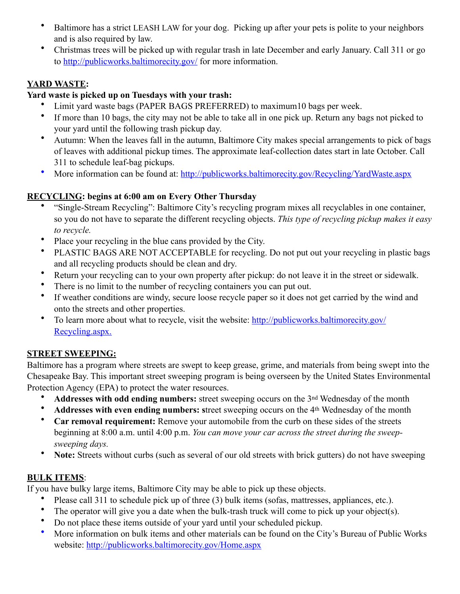- Baltimore has a strict LEASH LAW for your dog. Picking up after your pets is polite to your neighbors and is also required by law.
- Christmas trees will be picked up with regular trash in late December and early January. Call 311 or go to<http://publicworks.baltimorecity.gov/>for more information.

## **YARD WASTE:**

#### **Yard waste is picked up on Tuesdays with your trash:**

- Limit yard waste bags (PAPER BAGS PREFERRED) to maximum10 bags per week.
- If more than 10 bags, the city may not be able to take all in one pick up. Return any bags not picked to your yard until the following trash pickup day.
- Autumn: When the leaves fall in the autumn, Baltimore City makes special arrangements to pick of bags of leaves with additional pickup times. The approximate leaf-collection dates start in late October. Call 311 to schedule leaf-bag pickups.
- More information can be found at: http://publicworks.baltimorecity.gov/Recycling/YardWaste.aspx

## **RECYCLING: begins at 6:00 am on Every Other Thursday**

- "Single-Stream Recycling": Baltimore City's recycling program mixes all recyclables in one container, so you do not have to separate the different recycling objects. *This type of recycling pickup makes it easy to recycle.*
- Place your recycling in the blue cans provided by the City.
- PLASTIC BAGS ARE NOT ACCEPTABLE for recycling. Do not put out your recycling in plastic bags and all recycling products should be clean and dry.
- Return your recycling can to your own property after pickup: do not leave it in the street or sidewalk.
- There is no limit to the number of recycling containers you can put out.
- If weather conditions are windy, secure loose recycle paper so it does not get carried by the wind and onto the streets and other properties.
- To learn more about what to recycle, visit the website: http://publicworks.baltimorecity.gov/ Recycling.aspx.

## **STREET SWEEPING:**

Baltimore has a program where streets are swept to keep grease, grime, and materials from being swept into the Chesapeake Bay. This important street sweeping program is being overseen by the United States Environmental Protection Agency (EPA) to protect the water resources.

- **Addresses with odd ending numbers:** street sweeping occurs on the 3nd Wednesday of the month
- **Addresses with even ending numbers: s**treet sweeping occurs on the 4th Wednesday of the month
- **Car removal requirement:** Remove your automobile from the curb on these sides of the streets beginning at 8:00 a.m. until 4:00 p.m. *You can move your car across the street during the sweepsweeping days.*
- **Note:** Streets without curbs (such as several of our old streets with brick gutters) do not have sweeping

## **BULK ITEMS**:

If you have bulky large items, Baltimore City may be able to pick up these objects.

- Please call 311 to schedule pick up of three (3) bulk items (sofas, mattresses, appliances, etc.).
- The operator will give you a date when the bulk-trash truck will come to pick up your object(s).
- Do not place these items outside of your yard until your scheduled pickup.
- More information on bulk items and other materials can be found on the City's Bureau of Public Works website: http://publicworks.baltimorecity.gov/Home.aspx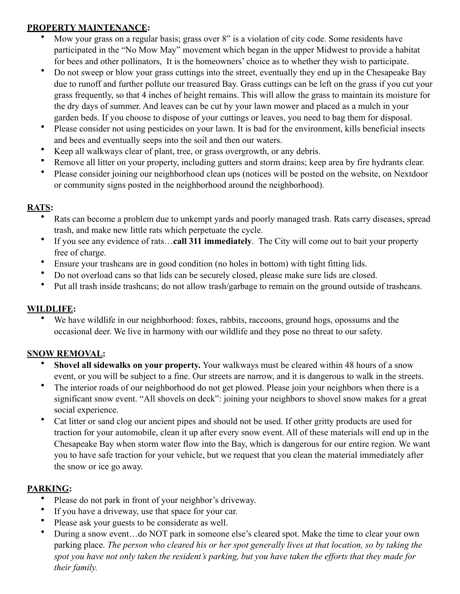## **PROPERTY MAINTENANCE:**

- Mow your grass on a regular basis; grass over 8" is a violation of city code. Some residents have participated in the "No Mow May" movement which began in the upper Midwest to provide a habitat for bees and other pollinators, It is the homeowners' choice as to whether they wish to participate.
- Do not sweep or blow your grass cuttings into the street, eventually they end up in the Chesapeake Bay due to runoff and further pollute our treasured Bay. Grass cuttings can be left on the grass if you cut your grass frequently, so that 4 inches of height remains. This will allow the grass to maintain its moisture for the dry days of summer. And leaves can be cut by your lawn mower and placed as a mulch in your garden beds. If you choose to dispose of your cuttings or leaves, you need to bag them for disposal.
- Please consider not using pesticides on your lawn. It is bad for the environment, kills beneficial insects and bees and eventually seeps into the soil and then our waters.
- Keep all walkways clear of plant, tree, or grass overgrowth, or any debris.
- Remove all litter on your property, including gutters and storm drains; keep area by fire hydrants clear.
- Please consider joining our neighborhood clean ups (notices will be posted on the website, on Nextdoor or community signs posted in the neighborhood around the neighborhood).

## **RATS:**

- Rats can become a problem due to unkempt yards and poorly managed trash. Rats carry diseases, spread trash, and make new little rats which perpetuate the cycle.
- If you see any evidence of rats…**call 311 immediately**. The City will come out to bait your property free of charge.
- Ensure your trashcans are in good condition (no holes in bottom) with tight fitting lids.
- Do not overload cans so that lids can be securely closed, please make sure lids are closed.
- Put all trash inside trashcans; do not allow trash/garbage to remain on the ground outside of trashcans.

## **WILDLIFE:**

We have wildlife in our neighborhood: foxes, rabbits, raccoons, ground hogs, opossums and the occasional deer. We live in harmony with our wildlife and they pose no threat to our safety.

# **SNOW REMOVAL:**

- **Shovel all sidewalks on your property.** Your walkways must be cleared within 48 hours of a snow event, or you will be subject to a fine. Our streets are narrow, and it is dangerous to walk in the streets.
- The interior roads of our neighborhood do not get plowed. Please join your neighbors when there is a significant snow event. "All shovels on deck": joining your neighbors to shovel snow makes for a great social experience.
- Cat litter or sand clog our ancient pipes and should not be used. If other gritty products are used for traction for your automobile, clean it up after every snow event. All of these materials will end up in the Chesapeake Bay when storm water flow into the Bay, which is dangerous for our entire region. We want you to have safe traction for your vehicle, but we request that you clean the material immediately after the snow or ice go away.

# **PARKING:**

- Please do not park in front of your neighbor's driveway.
- If you have a driveway, use that space for your car.
- Please ask your guests to be considerate as well.
- During a snow event…do NOT park in someone else's cleared spot. Make the time to clear your own parking place. *The person who cleared his or her spot generally lives at that location, so by taking the spot you have not only taken the resident's parking, but you have taken the efforts that they made for their family.*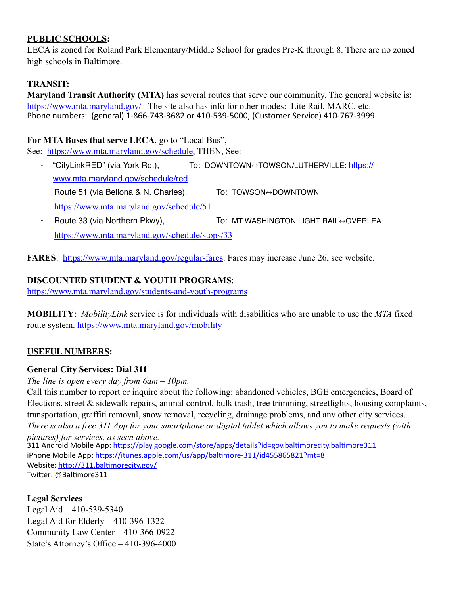## **PUBLIC SCHOOLS:**

LECA is zoned for Roland Park Elementary/Middle School for grades Pre-K through 8. There are no zoned high schools in Baltimore.

# **TRANSIT:**

**Maryland Transit Authority (MTA)** has several routes that serve our community. The general website is: <https://www.mta.maryland.gov/> The site also has info for other modes: Lite Rail, MARC, etc. Phone numbers: (general) 1-866-743-3682 or 410-539-5000; (Customer Service) 410-767-3999

## **For MTA Buses that serve LECA**, go to "Local Bus",

See: [https://www.mta.maryland.gov/schedule,](https://www.mta.maryland.gov/schedule) THEN, See:

- "CityLinkRED" (via York Rd.), To: DOWNTOWN↔ TOWSON/LUTHERVILLE: https:// www.mta.maryland.gov/schedule/red
- Route 51 (via Bellona & N. Charles), To: TOWSON↔ DOWNTOWN <https://www.mta.maryland.gov/schedule/51>
- Route 33 (via Northern Pkwy), To: MT WASHINGTON LIGHT RAIL↔OVERLEA <https://www.mta.maryland.gov/schedule/stops/33>

**FARES**: <https://www.mta.maryland.gov/regular-fares>. Fares may increase June 26, see website.

# **DISCOUNTED STUDENT & YOUTH PROGRAMS**:

<https://www.mta.maryland.gov/students-and-youth-programs>

**MOBILITY**: *MobilityLink* service is for individuals with disabilities who are unable to use the *MTA* fixed route system. <https://www.mta.maryland.gov/mobility>

# **USEFUL NUMBERS:**

## **General City Services: Dial 311**

*The line is open every day from 6am – 10pm.* 

Call this number to report or inquire about the following: abandoned vehicles, BGE emergencies, Board of Elections, street  $\&$  sidewalk repairs, animal control, bulk trash, tree trimming, streetlights, housing complaints, transportation, graffiti removal, snow removal, recycling, drainage problems, and any other city services. *There is also a free 311 App for your smartphone or digital tablet which allows you to make requests (with* 

*pictures) for services, as seen above.* 311 Android Mobile App: <https://play.google.com/store/apps/details?id=gov.baltimorecity.baltimore311> iPhone Mobile App: <https://itunes.apple.com/us/app/baltimore-311/id455865821?mt=8> Website: <http://311.baltimorecity.gov/> Twitter: @Baltimore311

# **Legal Services**

Legal Aid – 410-539-5340 Legal Aid for Elderly – 410-396-1322 Community Law Center – 410-366-0922 State's Attorney's Office – 410-396-4000